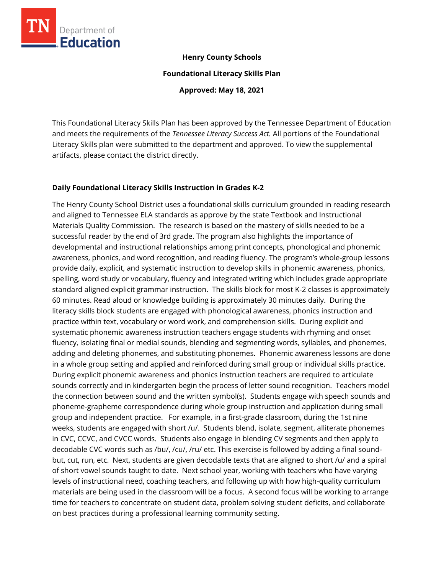

### **Henry County Schools**

**Foundational Literacy Skills Plan**

**Approved: May 18, 2021**

This Foundational Literacy Skills Plan has been approved by the Tennessee Department of Education and meets the requirements of the *Tennessee Literacy Success Act.* All portions of the Foundational Literacy Skills plan were submitted to the department and approved. To view the supplemental artifacts, please contact the district directly.

### **Daily Foundational Literacy Skills Instruction in Grades K-2**

The Henry County School District uses a foundational skills curriculum grounded in reading research and aligned to Tennessee ELA standards as approve by the state Textbook and Instructional Materials Quality Commission. The research is based on the mastery of skills needed to be a successful reader by the end of 3rd grade. The program also highlights the importance of developmental and instructional relationships among print concepts, phonological and phonemic awareness, phonics, and word recognition, and reading fluency. The program's whole-group lessons provide daily, explicit, and systematic instruction to develop skills in phonemic awareness, phonics, spelling, word study or vocabulary, fluency and integrated writing which includes grade appropriate standard aligned explicit grammar instruction. The skills block for most K-2 classes is approximately 60 minutes. Read aloud or knowledge building is approximately 30 minutes daily. During the literacy skills block students are engaged with phonological awareness, phonics instruction and practice within text, vocabulary or word work, and comprehension skills. During explicit and systematic phonemic awareness instruction teachers engage students with rhyming and onset fluency, isolating final or medial sounds, blending and segmenting words, syllables, and phonemes, adding and deleting phonemes, and substituting phonemes. Phonemic awareness lessons are done in a whole group setting and applied and reinforced during small group or individual skills practice. During explicit phonemic awareness and phonics instruction teachers are required to articulate sounds correctly and in kindergarten begin the process of letter sound recognition. Teachers model the connection between sound and the written symbol(s). Students engage with speech sounds and phoneme-grapheme correspondence during whole group instruction and application during small group and independent practice. For example, in a first-grade classroom, during the 1st nine weeks, students are engaged with short /u/. Students blend, isolate, segment, alliterate phonemes in CVC, CCVC, and CVCC words. Students also engage in blending CV segments and then apply to decodable CVC words such as /bu/, /cu/, /ru/ etc. This exercise is followed by adding a final soundbut, cut, run, etc. Next, students are given decodable texts that are aligned to short /u/ and a spiral of short vowel sounds taught to date. Next school year, working with teachers who have varying levels of instructional need, coaching teachers, and following up with how high-quality curriculum materials are being used in the classroom will be a focus. A second focus will be working to arrange time for teachers to concentrate on student data, problem solving student deficits, and collaborate on best practices during a professional learning community setting.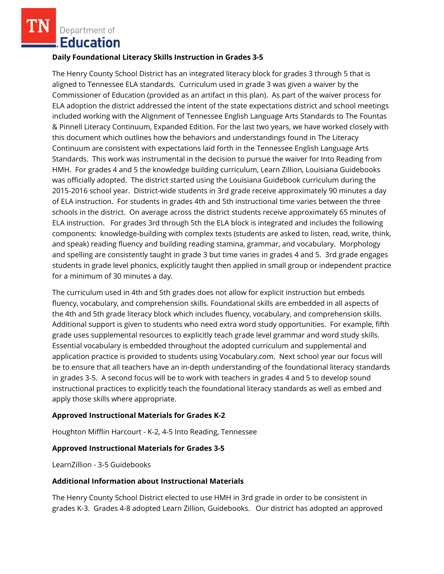Department of **Education** 

### **Daily Foundational Literacy Skills Instruction in Grades 3-5**

The Henry County School District has an integrated literacy block for grades 3 through 5 that is aligned to Tennessee ELA standards. Curriculum used in grade 3 was given a waiver by the Commissioner of Education (provided as an artifact in this plan). As part of the waiver process for ELA adoption the district addressed the intent of the state expectations district and school meetings included working with the Alignment of Tennessee English Language Arts Standards to The Fountas & Pinnell Literacy Continuum, Expanded Edition. For the last two years, we have worked closely with this document which outlines how the behaviors and understandings found in The Literacy Continuum are consistent with expectations laid forth in the Tennessee English Language Arts Standards. This work was instrumental in the decision to pursue the waiver for Into Reading from HMH. For grades 4 and 5 the knowledge building curriculum, Learn Zillion, Louisiana Guidebooks was officially adopted. The district started using the Louisiana Guidebook curriculum during the 2015-2016 school year. District-wide students in 3rd grade receive approximately 90 minutes a day of ELA instruction. For students in grades 4th and 5th instructional time varies between the three schools in the district. On average across the district students receive approximately 65 minutes of ELA instruction. For grades 3rd through 5th the ELA block is integrated and includes the following components: knowledge-building with complex texts (students are asked to listen, read, write, think, and speak) reading fluency and building reading stamina, grammar, and vocabulary. Morphology and spelling are consistently taught in grade 3 but time varies in grades 4 and 5. 3rd grade engages students in grade level phonics, explicitly taught then applied in small group or independent practice for a minimum of 30 minutes a day.

The curriculum used in 4th and 5th grades does not allow for explicit instruction but embeds fluency, vocabulary, and comprehension skills. Foundational skills are embedded in all aspects of the 4th and 5th grade literacy block which includes fluency, vocabulary, and comprehension skills. Additional support is given to students who need extra word study opportunities. For example, fifth grade uses supplemental resources to explicitly teach grade level grammar and word study skills. Essential vocabulary is embedded throughout the adopted curriculum and supplemental and application practice is provided to students using Vocabulary.com. Next school year our focus will be to ensure that all teachers have an in-depth understanding of the foundational literacy standards in grades 3-5. A second focus will be to work with teachers in grades 4 and 5 to develop sound instructional practices to explicitly teach the foundational literacy standards as well as embed and apply those skills where appropriate.

## **Approved Instructional Materials for Grades K-2**

Houghton Mifflin Harcourt - K-2, 4-5 Into Reading, Tennessee

### **Approved Instructional Materials for Grades 3-5**

LearnZillion - 3-5 Guidebooks

#### **Additional Information about Instructional Materials**

The Henry County School District elected to use HMH in 3rd grade in order to be consistent in grades K-3. Grades 4-8 adopted Learn Zillion, Guidebooks. Our district has adopted an approved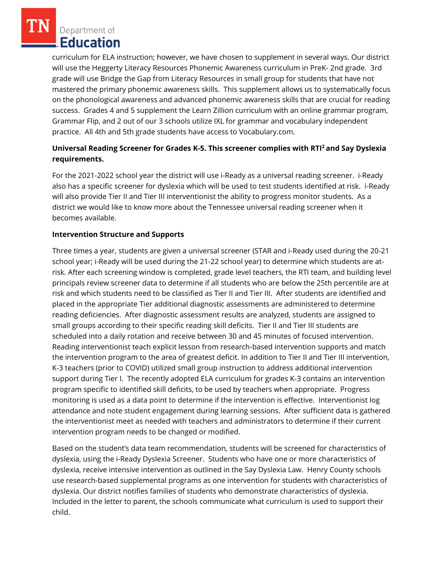Department of **Education** 

curriculum for ELA instruction; however, we have chosen to supplement in several ways. Our district will use the Heggerty Literacy Resources Phonemic Awareness curriculum in PreK- 2nd grade. 3rd grade will use Bridge the Gap from Literacy Resources in small group for students that have not mastered the primary phonemic awareness skills. This supplement allows us to systematically focus on the phonological awareness and advanced phonemic awareness skills that are crucial for reading success. Grades 4 and 5 supplement the Learn Zillion curriculum with an online grammar program, Grammar Flip, and 2 out of our 3 schools utilize IXL for grammar and vocabulary independent practice. All 4th and 5th grade students have access to Vocabulary.com.

# **Universal Reading Screener for Grades K-5. This screener complies with RTI<sup>2</sup>and Say Dyslexia requirements.**

For the 2021-2022 school year the district will use i-Ready as a universal reading screener. i-Ready also has a specific screener for dyslexia which will be used to test students identified at risk. i-Ready will also provide Tier II and Tier III interventionist the ability to progress monitor students. As a district we would like to know more about the Tennessee universal reading screener when it becomes available.

## **Intervention Structure and Supports**

Three times a year, students are given a universal screener (STAR and i-Ready used during the 20-21 school year; i-Ready will be used during the 21-22 school year) to determine which students are atrisk. After each screening window is completed, grade level teachers, the RTI team, and building level principals review screener data to determine if all students who are below the 25th percentile are at risk and which students need to be classified as Tier II and Tier III. After students are identified and placed in the appropriate Tier additional diagnostic assessments are administered to determine reading deficiencies. After diagnostic assessment results are analyzed, students are assigned to small groups according to their specific reading skill deficits. Tier II and Tier III students are scheduled into a daily rotation and receive between 30 and 45 minutes of focused intervention. Reading interventionist teach explicit lesson from research-based intervention supports and match the intervention program to the area of greatest deficit. In addition to Tier II and Tier III intervention, K-3 teachers (prior to COVID) utilized small group instruction to address additional intervention support during Tier I. The recently adopted ELA curriculum for grades K-3 contains an intervention program specific to identified skill deficits, to be used by teachers when appropriate. Progress monitoring is used as a data point to determine if the intervention is effective. Interventionist log attendance and note student engagement during learning sessions. After sufficient data is gathered the interventionist meet as needed with teachers and administrators to determine if their current intervention program needs to be changed or modified.

Based on the student's data team recommendation, students will be screened for characteristics of dyslexia, using the i-Ready Dyslexia Screener. Students who have one or more characteristics of dyslexia, receive intensive intervention as outlined in the Say Dyslexia Law. Henry County schools use research-based supplemental programs as one intervention for students with characteristics of dyslexia. Our district notifies families of students who demonstrate characteristics of dyslexia. Included in the letter to parent, the schools communicate what curriculum is used to support their child.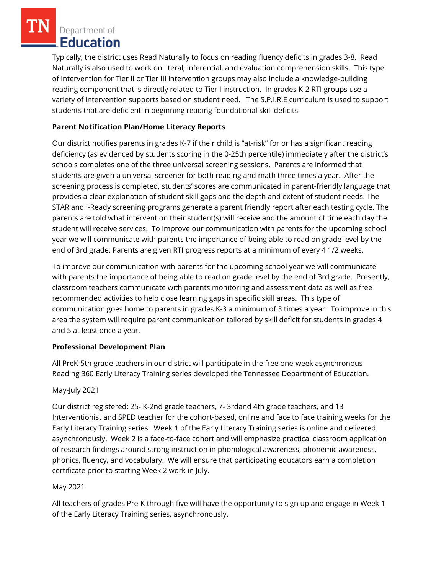Department of **Education** 

Typically, the district uses Read Naturally to focus on reading fluency deficits in grades 3-8. Read Naturally is also used to work on literal, inferential, and evaluation comprehension skills. This type of intervention for Tier II or Tier III intervention groups may also include a knowledge-building reading component that is directly related to Tier I instruction. In grades K-2 RTI groups use a variety of intervention supports based on student need. The S.P.I.R.E curriculum is used to support students that are deficient in beginning reading foundational skill deficits.

# **Parent Notification Plan/Home Literacy Reports**

Our district notifies parents in grades K-7 if their child is "at-risk" for or has a significant reading deficiency (as evidenced by students scoring in the 0-25th percentile) immediately after the district's schools completes one of the three universal screening sessions. Parents are informed that students are given a universal screener for both reading and math three times a year. After the screening process is completed, students' scores are communicated in parent-friendly language that provides a clear explanation of student skill gaps and the depth and extent of student needs. The STAR and i-Ready screening programs generate a parent friendly report after each testing cycle. The parents are told what intervention their student(s) will receive and the amount of time each day the student will receive services. To improve our communication with parents for the upcoming school year we will communicate with parents the importance of being able to read on grade level by the end of 3rd grade. Parents are given RTI progress reports at a minimum of every 4 1/2 weeks.

To improve our communication with parents for the upcoming school year we will communicate with parents the importance of being able to read on grade level by the end of 3rd grade. Presently, classroom teachers communicate with parents monitoring and assessment data as well as free recommended activities to help close learning gaps in specific skill areas. This type of communication goes home to parents in grades K-3 a minimum of 3 times a year. To improve in this area the system will require parent communication tailored by skill deficit for students in grades 4 and 5 at least once a year.

# **Professional Development Plan**

All PreK-5th grade teachers in our district will participate in the free one-week asynchronous Reading 360 Early Literacy Training series developed the Tennessee Department of Education.

# May-July 2021

Our district registered: 25- K-2nd grade teachers, 7- 3rdand 4th grade teachers, and 13 Interventionist and SPED teacher for the cohort-based, online and face to face training weeks for the Early Literacy Training series. Week 1 of the Early Literacy Training series is online and delivered asynchronously. Week 2 is a face-to-face cohort and will emphasize practical classroom application of research findings around strong instruction in phonological awareness, phonemic awareness, phonics, fluency, and vocabulary. We will ensure that participating educators earn a completion certificate prior to starting Week 2 work in July.

# May 2021

All teachers of grades Pre-K through five will have the opportunity to sign up and engage in Week 1 of the Early Literacy Training series, asynchronously.